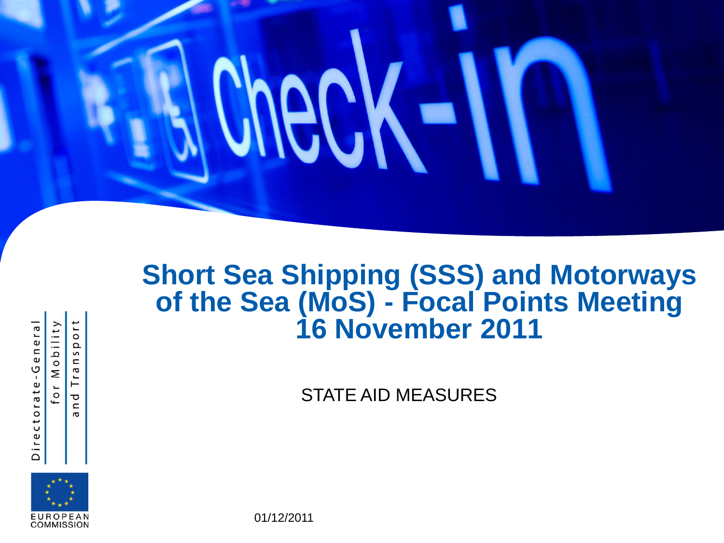

#### **Short Sea Shipping (SSS) and Motorways of the Sea (MoS) - Focal Points Meeting 16 November 2011**

STATE AID MEASURES



Directorate-General

or Mobility

 $\circ$  $\Omega$  $\mathsf{S}$  $\epsilon$  $\sigma$ E  $\overline{\sigma}$  $\mathbf{C}$  $\sigma$ 

01/12/2011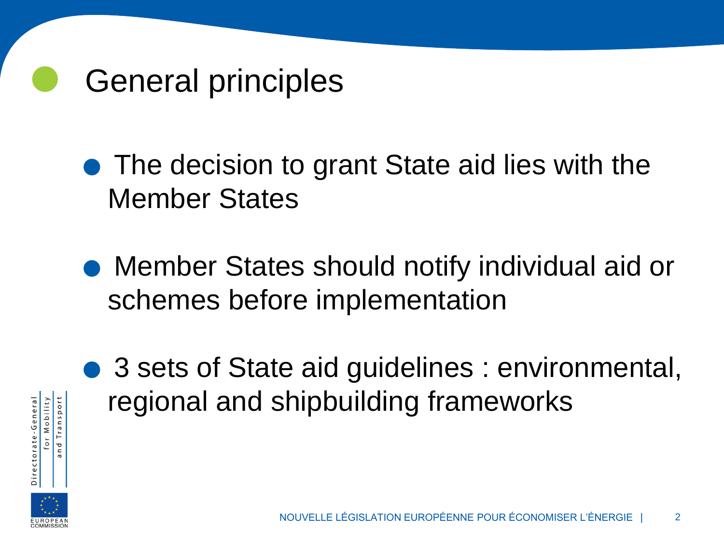

• The decision to grant State aid lies with the Member States

• Member States should notify individual aid or schemes before implementation



● 3 sets of State aid guidelines : environmental, regional and shipbuilding frameworks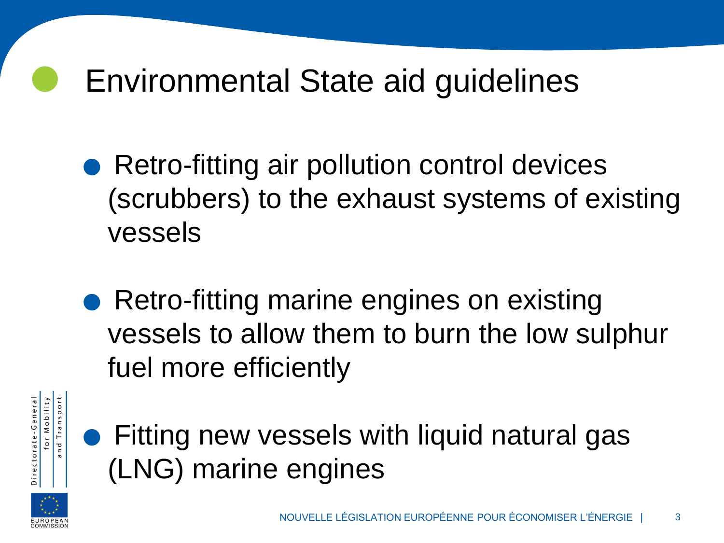# Environmental State aid guidelines

- Retro-fitting air pollution control devices (scrubbers) to the exhaust systems of existing vessels
- Retro-fitting marine engines on existing vessels to allow them to burn the low sulphur fuel more efficiently



• Fitting new vessels with liquid natural gas (LNG) marine engines

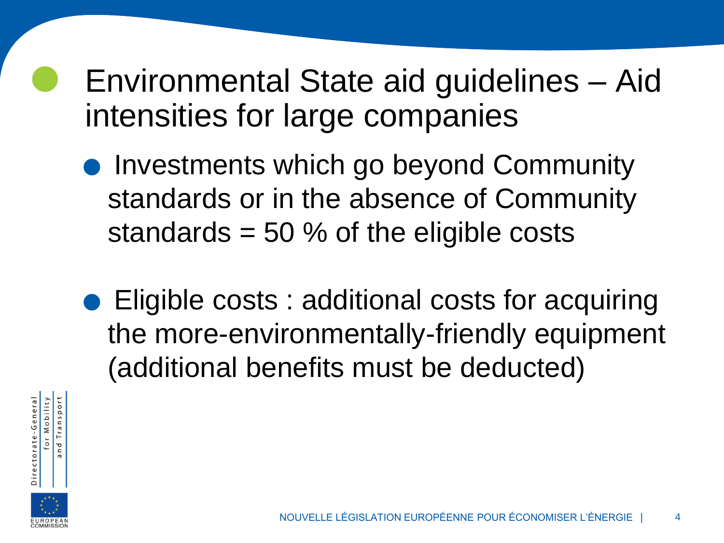### Environmental State aid guidelines – Aid intensities for large companies

- **Investments which go beyond Community** standards or in the absence of Community standards = 50 % of the eligible costs
- Eligible costs : additional costs for acquiring the more-environmentally-friendly equipment (additional benefits must be deducted)



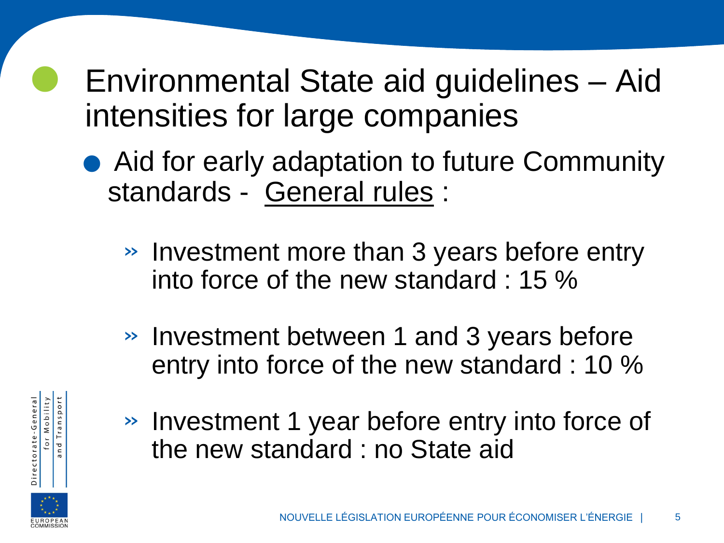### Environmental State aid guidelines – Aid intensities for large companies

- Aid for early adaptation to future Community standards - General rules :
	- » Investment more than 3 years before entry into force of the new standard : 15 %
	- » Investment between 1 and 3 years before entry into force of the new standard : 10 %
	- » Investment 1 year before entry into force of the new standard : no State aid



for Mobility

Transport

and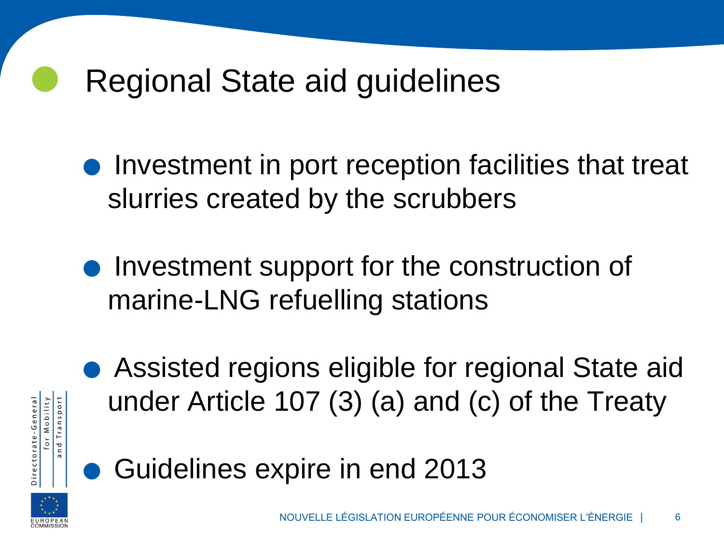# Regional State aid guidelines

- Investment in port reception facilities that treat slurries created by the scrubbers
- **Investment support for the construction of** marine-LNG refuelling stations





for Mobility ectorate-General

• Guidelines expire in end 2013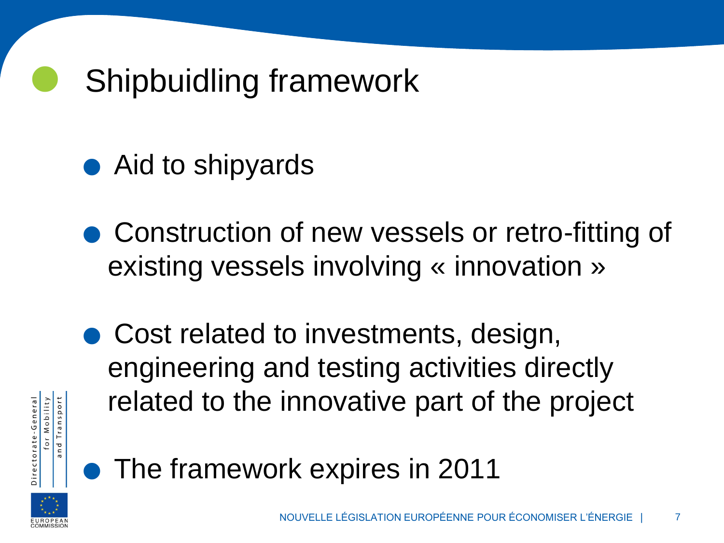# Shipbuidling framework

- $\bullet$  Aid to shipyards
- Construction of new vessels or retro-fitting of existing vessels involving « innovation »
- Cost related to investments, design, engineering and testing activities directly related to the innovative part of the project



for Mobility

and Transport

• The framework expires in 2011